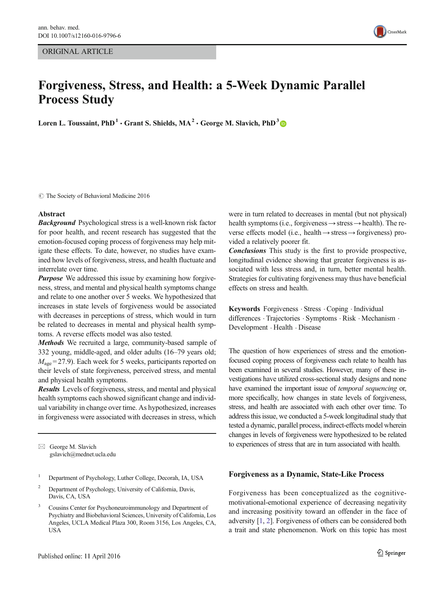ORIGINAL ARTICLE



# Forgiveness, Stress, and Health: a 5-Week Dynamic Parallel Process Study

Loren L. Toussaint, PhD<sup>1</sup>  $\cdot$  Grant S. Shields, MA<sup>2</sup>  $\cdot$  George M. Slavich, PhD<sup>3</sup>  $\circ$ 

C The Society of Behavioral Medicine 2016

#### Abstract

Background Psychological stress is a well-known risk factor for poor health, and recent research has suggested that the emotion-focused coping process of forgiveness may help mitigate these effects. To date, however, no studies have examined how levels of forgiveness, stress, and health fluctuate and interrelate over time.

**Purpose** We addressed this issue by examining how forgiveness, stress, and mental and physical health symptoms change and relate to one another over 5 weeks. We hypothesized that increases in state levels of forgiveness would be associated with decreases in perceptions of stress, which would in turn be related to decreases in mental and physical health symptoms. A reverse effects model was also tested.

Methods We recruited a large, community-based sample of 332 young, middle-aged, and older adults (16–79 years old;  $M_{\text{age}}$  = 27.9). Each week for 5 weeks, participants reported on their levels of state forgiveness, perceived stress, and mental and physical health symptoms.

Results Levels of forgiveness, stress, and mental and physical health symptoms each showed significant change and individual variability in change over time. As hypothesized, increases in forgiveness were associated with decreases in stress, which

 $\boxtimes$  George M. Slavich gslavich@mednet.ucla.edu

- <sup>1</sup> Department of Psychology, Luther College, Decorah, IA, USA
- <sup>2</sup> Department of Psychology, University of California, Davis, Davis, CA, USA

were in turn related to decreases in mental (but not physical) health symptoms (i.e., forgiveness  $\rightarrow$  stress  $\rightarrow$  health). The reverse effects model (i.e., health→stress→forgiveness) provided a relatively poorer fit.

Conclusions This study is the first to provide prospective, longitudinal evidence showing that greater forgiveness is associated with less stress and, in turn, better mental health. Strategies for cultivating forgiveness may thus have beneficial effects on stress and health.

Keywords Forgiveness . Stress . Coping . Individual differences . Trajectories . Symptoms . Risk . Mechanism . Development . Health . Disease

The question of how experiences of stress and the emotionfocused coping process of forgiveness each relate to health has been examined in several studies. However, many of these investigations have utilized cross-sectional study designs and none have examined the important issue of *temporal sequencing* or, more specifically, how changes in state levels of forgiveness, stress, and health are associated with each other over time. To address this issue, we conducted a 5-week longitudinal study that tested a dynamic, parallel process, indirect-effects model wherein changes in levels of forgiveness were hypothesized to be related to experiences of stress that are in turn associated with health.

# Forgiveness as a Dynamic, State-Like Process

Forgiveness has been conceptualized as the cognitivemotivational-emotional experience of decreasing negativity and increasing positivity toward an offender in the face of adversity [\[1,](#page-7-0) [2\]](#page-7-0). Forgiveness of others can be considered both a trait and state phenomenon. Work on this topic has most

<sup>3</sup> Cousins Center for Psychoneuroimmunology and Department of Psychiatry and Biobehavioral Sciences, University of California, Los Angeles, UCLA Medical Plaza 300, Room 3156, Los Angeles, CA, USA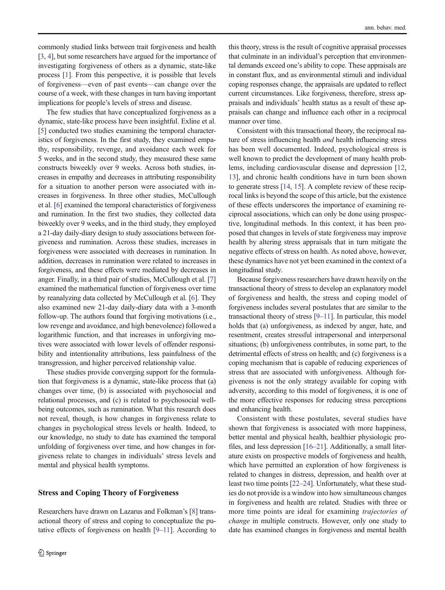commonly studied links between trait forgiveness and health [\[3](#page-7-0), [4\]](#page-7-0), but some researchers have argued for the importance of investigating forgiveness of others as a dynamic, state-like process [[1\]](#page-7-0). From this perspective, it is possible that levels of forgiveness—even of past events—can change over the course of a week, with these changes in turn having important implications for people's levels of stress and disease.

The few studies that have conceptualized forgiveness as a dynamic, state-like process have been insightful. Exline et al. [\[5](#page-7-0)] conducted two studies examining the temporal characteristics of forgiveness. In the first study, they examined empathy, responsibility, revenge, and avoidance each week for 5 weeks, and in the second study, they measured these same constructs biweekly over 9 weeks. Across both studies, increases in empathy and decreases in attributing responsibility for a situation to another person were associated with increases in forgiveness. In three other studies, McCullough et al. [\[6](#page-7-0)] examined the temporal characteristics of forgiveness and rumination. In the first two studies, they collected data biweekly over 9 weeks, and in the third study, they employed a 21-day daily-diary design to study associations between forgiveness and rumination. Across these studies, increases in forgiveness were associated with decreases in rumination. In addition, decreases in rumination were related to increases in forgiveness, and these effects were mediated by decreases in anger. Finally, in a third pair of studies, McCullough et al. [\[7\]](#page-7-0) examined the mathematical function of forgiveness over time by reanalyzing data collected by McCullough et al. [\[6\]](#page-7-0). They also examined new 21-day daily-diary data with a 3-month follow-up. The authors found that forgiving motivations (i.e., low revenge and avoidance, and high benevolence) followed a logarithmic function, and that increases in unforgiving motives were associated with lower levels of offender responsibility and intentionality attributions, less painfulness of the transgression, and higher perceived relationship value.

These studies provide converging support for the formulation that forgiveness is a dynamic, state-like process that (a) changes over time, (b) is associated with psychosocial and relational processes, and (c) is related to psychosocial wellbeing outcomes, such as rumination. What this research does not reveal, though, is how changes in forgiveness relate to changes in psychological stress levels or health. Indeed, to our knowledge, no study to date has examined the temporal unfolding of forgiveness over time, and how changes in forgiveness relate to changes in individuals' stress levels and mental and physical health symptoms.

### Stress and Coping Theory of Forgiveness

Researchers have drawn on Lazarus and Folkman's [[8\]](#page-8-0) transactional theory of stress and coping to conceptualize the putative effects of forgiveness on health [\[9](#page-8-0)–[11\]](#page-8-0). According to this theory, stress is the result of cognitive appraisal processes that culminate in an individual's perception that environmental demands exceed one's ability to cope. These appraisals are in constant flux, and as environmental stimuli and individual coping responses change, the appraisals are updated to reflect current circumstances. Like forgiveness, therefore, stress appraisals and individuals' health status as a result of these appraisals can change and influence each other in a reciprocal manner over time.

Consistent with this transactional theory, the reciprocal nature of stress influencing health and health influencing stress has been well documented. Indeed, psychological stress is well known to predict the development of many health problems, including cardiovascular disease and depression [[12,](#page-8-0) [13\]](#page-8-0), and chronic health conditions have in turn been shown to generate stress [[14,](#page-8-0) [15](#page-8-0)]. A complete review of these reciprocal links is beyond the scope of this article, but the existence of these effects underscores the importance of examining reciprocal associations, which can only be done using prospective, longitudinal methods. In this context, it has been proposed that changes in levels of state forgiveness may improve health by altering stress appraisals that in turn mitigate the negative effects of stress on health. As noted above, however, these dynamics have not yet been examined in the context of a longitudinal study.

Because forgiveness researchers have drawn heavily on the transactional theory of stress to develop an explanatory model of forgiveness and health, the stress and coping model of forgiveness includes several postulates that are similar to the transactional theory of stress [\[9](#page-8-0)–[11\]](#page-8-0). In particular, this model holds that (a) unforgiveness, as indexed by anger, hate, and resentment, creates stressful intrapersonal and interpersonal situations; (b) unforgiveness contributes, in some part, to the detrimental effects of stress on health; and (c) forgiveness is a coping mechanism that is capable of reducing experiences of stress that are associated with unforgiveness. Although forgiveness is not the only strategy available for coping with adversity, according to this model of forgiveness, it is one of the more effective responses for reducing stress perceptions and enhancing health.

Consistent with these postulates, several studies have shown that forgiveness is associated with more happiness, better mental and physical health, healthier physiologic profiles, and less depression [\[16](#page-8-0)–[21](#page-8-0)]. Additionally, a small literature exists on prospective models of forgiveness and health, which have permitted an exploration of how forgiveness is related to changes in distress, depression, and health over at least two time points [\[22](#page-8-0)–[24\]](#page-8-0). Unfortunately, what these studies do not provide is a window into how simultaneous changes in forgiveness and health are related. Studies with three or more time points are ideal for examining trajectories of change in multiple constructs. However, only one study to date has examined changes in forgiveness and mental health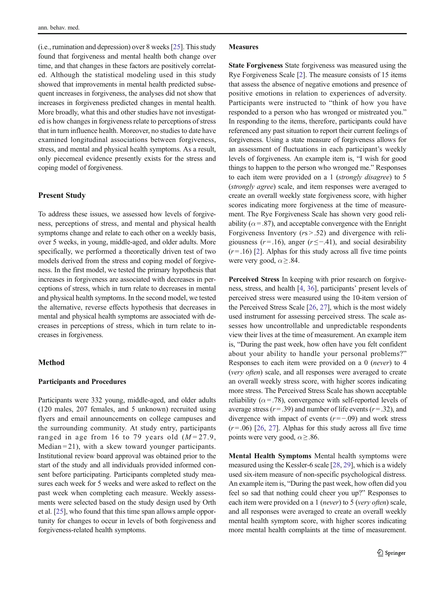(i.e., rumination and depression) over 8 weeks [[25\]](#page-8-0). This study found that forgiveness and mental health both change over time, and that changes in these factors are positively correlated. Although the statistical modeling used in this study showed that improvements in mental health predicted subsequent increases in forgiveness, the analyses did not show that increases in forgiveness predicted changes in mental health. More broadly, what this and other studies have not investigated is how changes in forgiveness relate to perceptions of stress that in turn influence health. Moreover, no studies to date have examined longitudinal associations between forgiveness, stress, and mental and physical health symptoms. As a result, only piecemeal evidence presently exists for the stress and coping model of forgiveness.

# Present Study

To address these issues, we assessed how levels of forgiveness, perceptions of stress, and mental and physical health symptoms change and relate to each other on a weekly basis, over 5 weeks, in young, middle-aged, and older adults. More specifically, we performed a theoretically driven test of two models derived from the stress and coping model of forgiveness. In the first model, we tested the primary hypothesis that increases in forgiveness are associated with decreases in perceptions of stress, which in turn relate to decreases in mental and physical health symptoms. In the second model, we tested the alternative, reverse effects hypothesis that decreases in mental and physical health symptoms are associated with decreases in perceptions of stress, which in turn relate to increases in forgiveness.

# Method

#### Participants and Procedures

Participants were 332 young, middle-aged, and older adults (120 males, 207 females, and 5 unknown) recruited using flyers and email announcements on college campuses and the surrounding community. At study entry, participants ranged in age from 16 to 79 years old  $(M=27.9,$ Median = 21), with a skew toward younger participants. Institutional review board approval was obtained prior to the start of the study and all individuals provided informed consent before participating. Participants completed study measures each week for 5 weeks and were asked to reflect on the past week when completing each measure. Weekly assessments were selected based on the study design used by Orth et al. [\[25\]](#page-8-0), who found that this time span allows ample opportunity for changes to occur in levels of both forgiveness and forgiveness-related health symptoms.

#### Measures

State Forgiveness State forgiveness was measured using the Rye Forgiveness Scale [[2](#page-7-0)]. The measure consists of 15 items that assess the absence of negative emotions and presence of positive emotions in relation to experiences of adversity. Participants were instructed to "think of how you have responded to a person who has wronged or mistreated you." In responding to the items, therefore, participants could have referenced any past situation to report their current feelings of forgiveness. Using a state measure of forgiveness allows for an assessment of fluctuations in each participant's weekly levels of forgiveness. An example item is, "I wish for good things to happen to the person who wronged me." Responses to each item were provided on a 1 (strongly disagree) to 5 (strongly agree) scale, and item responses were averaged to create an overall weekly state forgiveness score, with higher scores indicating more forgiveness at the time of measurement. The Rye Forgiveness Scale has shown very good reliability ( $\alpha$  = .87), and acceptable convergence with the Enright Forgiveness Inventory  $(rs > .52)$  and divergence with religiousness ( $r = .16$ ), anger ( $r \leq -.41$ ), and social desirability  $(r = .16)$  [\[2\]](#page-7-0). Alphas for this study across all five time points were very good,  $\alpha \geq .84$ .

Perceived Stress In keeping with prior research on forgiveness, stress, and health [\[4,](#page-7-0) [36\]](#page-8-0), participants' present levels of perceived stress were measured using the 10-item version of the Perceived Stress Scale [[26](#page-8-0), [27](#page-8-0)], which is the most widely used instrument for assessing perceived stress. The scale assesses how uncontrollable and unpredictable respondents view their lives at the time of measurement. An example item is, "During the past week, how often have you felt confident about your ability to handle your personal problems?" Responses to each item were provided on a 0 (never) to 4 (very often) scale, and all responses were averaged to create an overall weekly stress score, with higher scores indicating more stress. The Perceived Stress Scale has shown acceptable reliability ( $\alpha$ = .78), convergence with self-reported levels of average stress ( $r = .39$ ) and number of life events ( $r = .32$ ), and divergence with impact of events  $(r = -0.09)$  and work stress  $(r = .06)$  [[26,](#page-8-0) [27\]](#page-8-0). Alphas for this study across all five time points were very good,  $\alpha \geq .86$ .

Mental Health Symptoms Mental health symptoms were measured using the Kessler-6 scale [\[28](#page-8-0), [29\]](#page-8-0), which is a widely used six-item measure of non-specific psychological distress. An example item is, "During the past week, how often did you feel so sad that nothing could cheer you up?" Responses to each item were provided on a 1 (*never*) to 5 (*very often*) scale, and all responses were averaged to create an overall weekly mental health symptom score, with higher scores indicating more mental health complaints at the time of measurement.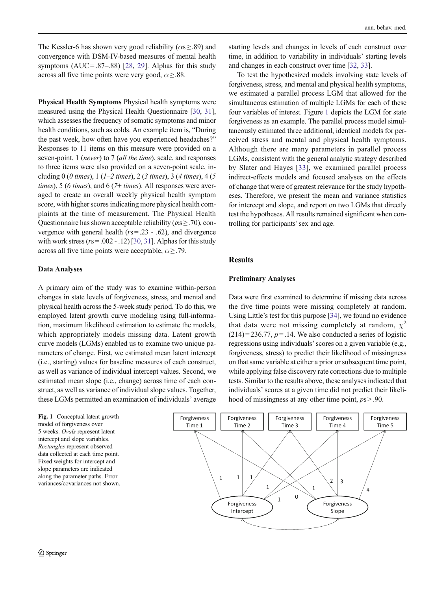The Kessler-6 has shown very good reliability ( $\alpha$ s > .89) and convergence with DSM-IV-based measures of mental health symptoms  $(AUC = .87 - .88)$  [[28,](#page-8-0) [29\]](#page-8-0). Alphas for this study across all five time points were very good,  $\alpha$  > .88.

Physical Health Symptoms Physical health symptoms were measured using the Physical Health Questionnaire [\[30,](#page-8-0) [31\]](#page-8-0), which assesses the frequency of somatic symptoms and minor health conditions, such as colds. An example item is, "During the past week, how often have you experienced headaches?" Responses to 11 items on this measure were provided on a seven-point, 1 (*never*) to 7 (*all the time*), scale, and responses to three items were also provided on a seven-point scale, including 0 (0 times),  $1 (1-2 \text{ times})$ ,  $2 (3 \text{ times})$ ,  $3 (4 \text{ times})$ ,  $4 (5$ times), 5 (6 times), and 6 (7+ times). All responses were averaged to create an overall weekly physical health symptom score, with higher scores indicating more physical health complaints at the time of measurement. The Physical Health Questionnaire has shown acceptable reliability ( $\alpha s \geq .70$ ), convergence with general health ( $rs = .23 - .62$ ), and divergence with work stress ( $rs = .002 - .12$ ) [[30](#page-8-0), [31](#page-8-0)]. Alphas for this study across all five time points were acceptable,  $\alpha \geq .79$ .

# Data Analyses

A primary aim of the study was to examine within-person changes in state levels of forgiveness, stress, and mental and physical health across the 5-week study period. To do this, we employed latent growth curve modeling using full-information, maximum likelihood estimation to estimate the models, which appropriately models missing data. Latent growth curve models (LGMs) enabled us to examine two unique parameters of change. First, we estimated mean latent intercept (i.e., starting) values for baseline measures of each construct, as well as variance of individual intercept values. Second, we estimated mean slope (i.e., change) across time of each construct, as well as variance of individual slope values. Together, these LGMs permitted an examination of individuals' average

Fig. 1 Conceptual latent growth model of forgiveness over 5 weeks. Ovals represent latent intercept and slope variables. Rectangles represent observed data collected at each time point. Fixed weights for intercept and slope parameters are indicated along the parameter paths. Error variances/covariances not shown.

starting levels and changes in levels of each construct over time, in addition to variability in individuals' starting levels and changes in each construct over time [\[32,](#page-8-0) [33\]](#page-8-0).

To test the hypothesized models involving state levels of forgiveness, stress, and mental and physical health symptoms, we estimated a parallel process LGM that allowed for the simultaneous estimation of multiple LGMs for each of these four variables of interest. Figure 1 depicts the LGM for state forgiveness as an example. The parallel process model simultaneously estimated three additional, identical models for perceived stress and mental and physical health symptoms. Although there are many parameters in parallel process LGMs, consistent with the general analytic strategy described by Slater and Hayes [[33\]](#page-8-0), we examined parallel process indirect-effects models and focused analyses on the effects of change that were of greatest relevance for the study hypotheses. Therefore, we present the mean and variance statistics for intercept and slope, and report on two LGMs that directly test the hypotheses. All results remained significant when controlling for participants' sex and age.

# **Results**

#### Preliminary Analyses

Data were first examined to determine if missing data across the five time points were missing completely at random. Using Little's test for this purpose [[34\]](#page-8-0), we found no evidence that data were not missing completely at random,  $\chi^2$  $(214)=236.77, p=.14$ . We also conducted a series of logistic regressions using individuals'scores on a given variable (e.g., forgiveness, stress) to predict their likelihood of missingness on that same variable at either a prior or subsequent time point, while applying false discovery rate corrections due to multiple tests. Similar to the results above, these analyses indicated that individuals' scores at a given time did not predict their likelihood of missingness at any other time point,  $ps > .90$ .

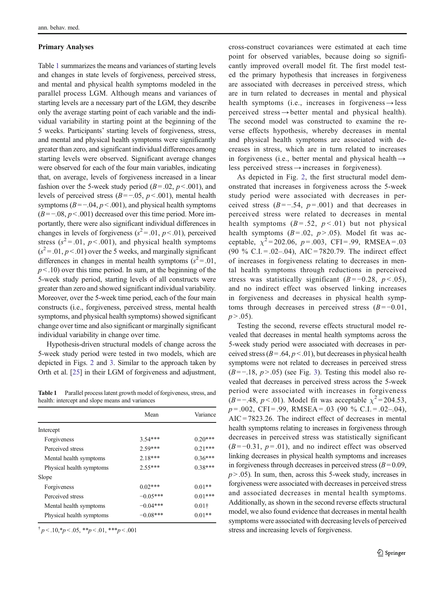#### Primary Analyses

Table 1 summarizes the means and variances of starting levels and changes in state levels of forgiveness, perceived stress, and mental and physical health symptoms modeled in the parallel process LGM. Although means and variances of starting levels are a necessary part of the LGM, they describe only the average starting point of each variable and the individual variability in starting point at the beginning of the 5 weeks. Participants' starting levels of forgiveness, stress, and mental and physical health symptoms were significantly greater than zero, and significant individual differences among starting levels were observed. Significant average changes were observed for each of the four main variables, indicating that, on average, levels of forgiveness increased in a linear fashion over the 5-week study period  $(B=.02, p<.001)$ , and levels of perceived stress ( $B = -0.05$ ,  $p < 0.001$ ), mental health symptoms ( $B = -0.04$ ,  $p < .001$ ), and physical health symptoms  $(B=-.08, p<.001)$  decreased over this time period. More importantly, there were also significant individual differences in changes in levels of forgiveness ( $s^2$  = .01,  $p$  < .01), perceived stress ( $s^2$  = .01,  $p$  < .001), and physical health symptoms  $(s^2 = 0.01, p < 0.01)$  over the 5 weeks, and marginally significant differences in changes in mental health symptoms  $(s^2 = .01,$  $p<.10$ ) over this time period. In sum, at the beginning of the 5-week study period, starting levels of all constructs were greater than zero and showed significant individual variability. Moreover, over the 5-week time period, each of the four main constructs (i.e., forgiveness, perceived stress, mental health symptoms, and physical health symptoms) showed significant change over time and also significant or marginally significant individual variability in change over time.

Hypothesis-driven structural models of change across the 5-week study period were tested in two models, which are depicted in Figs. [2](#page-5-0) and [3.](#page-5-0) Similar to the approach taken by Orth et al. [\[25\]](#page-8-0) in their LGM of forgiveness and adjustment,

Table 1 Parallel process latent growth model of forgiveness, stress, and health: intercept and slope means and variances

|                          | Mean       | Variance      |
|--------------------------|------------|---------------|
| Intercept                |            |               |
| Forgiveness              | $3.54***$  | $0.20***$     |
| Perceived stress         | $2.59***$  | $0.21***$     |
| Mental health symptoms   | $2.18***$  | $0.36***$     |
| Physical health symptoms | $2.55***$  | $0.38***$     |
| Slope                    |            |               |
| Forgiveness              | $0.02***$  | $0.01**$      |
| Perceived stress         | $-0.05***$ | $0.01***$     |
| Mental health symptoms   | $-0.04***$ | $0.01\dagger$ |
| Physical health symptoms | $-0.08***$ | $0.01**$      |

 $\uparrow p < .10, \uparrow p < .05, \uparrow \uparrow p < .01, \uparrow \uparrow \uparrow p < .001$ 

cross-construct covariances were estimated at each time point for observed variables, because doing so significantly improved overall model fit. The first model tested the primary hypothesis that increases in forgiveness are associated with decreases in perceived stress, which are in turn related to decreases in mental and physical health symptoms (i.e., increases in forgiveness  $\rightarrow$  less perceived stress  $\rightarrow$  better mental and physical health). The second model was constructed to examine the reverse effects hypothesis, whereby decreases in mental and physical health symptoms are associated with decreases in stress, which are in turn related to increases in forgiveness (i.e., better mental and physical health  $\rightarrow$ less perceived stress $\rightarrow$ increases in forgiveness).

As depicted in Fig. [2,](#page-5-0) the first structural model demonstrated that increases in forgiveness across the 5-week study period were associated with decreases in perceived stress  $(B = -0.54, p = .001)$  and that decreases in perceived stress were related to decreases in mental health symptoms  $(B=.52, p<.01)$  but not physical health symptoms  $(B=.02, p>.05)$ . Model fit was acceptable,  $\chi^2$  = 202.06, p = .003, CFI = .99, RMSEA = .03 (90 % C.I. = .02–.04), AIC = 7820.79. The indirect effect of increases in forgiveness relating to decreases in mental health symptoms through reductions in perceived stress was statistically significant ( $B = -0.28$ ,  $p < .05$ ), and no indirect effect was observed linking increases in forgiveness and decreases in physical health symptoms through decreases in perceived stress  $(B = -0.01$ ,  $p > .05$ ).

Testing the second, reverse effects structural model revealed that decreases in mental health symptoms across the 5-week study period were associated with decreases in perceived stress ( $B = .64$ ,  $p < .01$ ), but decreases in physical health symptoms were not related to decreases in perceived stress  $(B=-.18, p > .05)$  (see Fig. [3](#page-5-0)). Testing this model also revealed that decreases in perceived stress across the 5-week period were associated with increases in forgiveness  $(B = -0.48, p < 0.01)$ . Model fit was acceptable  $\chi^2 = 204.53$ ,  $p = .002$ , CFI = .99, RMSEA = .03 (90 % C.I. = .02-.04), AIC = 7823.26. The indirect effect of decreases in mental health symptoms relating to increases in forgiveness through decreases in perceived stress was statistically significant  $(B = -0.31, p = .01)$ , and no indirect effect was observed linking decreases in physical health symptoms and increases in forgiveness through decreases in perceived stress  $(B= 0.09,$  $p > 0.05$ ). In sum, then, across this 5-week study, increases in forgiveness were associated with decreases in perceived stress and associated decreases in mental health symptoms. Additionally, as shown in the second reverse effects structural model, we also found evidence that decreases in mental health symptoms were associated with decreasing levels of perceived stress and increasing levels of forgiveness.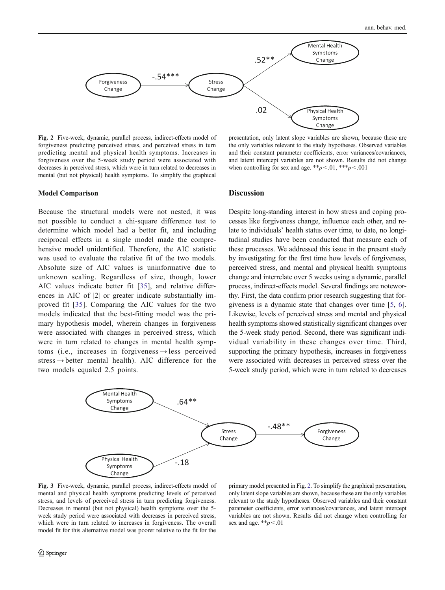<span id="page-5-0"></span>

Fig. 2 Five-week, dynamic, parallel process, indirect-effects model of forgiveness predicting perceived stress, and perceived stress in turn predicting mental and physical health symptoms. Increases in forgiveness over the 5-week study period were associated with decreases in perceived stress, which were in turn related to decreases in mental (but not physical) health symptoms. To simplify the graphical

presentation, only latent slope variables are shown, because these are the only variables relevant to the study hypotheses. Observed variables and their constant parameter coefficients, error variances/covariances, and latent intercept variables are not shown. Results did not change when controlling for sex and age. \*\*p < .01, \*\*\*p < .001

#### Model Comparison

Because the structural models were not nested, it was not possible to conduct a chi-square difference test to determine which model had a better fit, and including reciprocal effects in a single model made the comprehensive model unidentified. Therefore, the AIC statistic was used to evaluate the relative fit of the two models. Absolute size of AIC values is uninformative due to unknown scaling. Regardless of size, though, lower AIC values indicate better fit [\[35](#page-8-0)], and relative differences in AIC of |2| or greater indicate substantially improved fit [[35\]](#page-8-0). Comparing the AIC values for the two models indicated that the best-fitting model was the primary hypothesis model, wherein changes in forgiveness were associated with changes in perceived stress, which were in turn related to changes in mental health symptoms (i.e., increases in forgiveness  $\rightarrow$  less perceived stress → better mental health). AIC difference for the two models equaled 2.5 points.

# **Discussion**

Despite long-standing interest in how stress and coping processes like forgiveness change, influence each other, and relate to individuals' health status over time, to date, no longitudinal studies have been conducted that measure each of these processes. We addressed this issue in the present study by investigating for the first time how levels of forgiveness, perceived stress, and mental and physical health symptoms change and interrelate over 5 weeks using a dynamic, parallel process, indirect-effects model. Several findings are noteworthy. First, the data confirm prior research suggesting that forgiveness is a dynamic state that changes over time [\[5](#page-7-0), [6\]](#page-7-0). Likewise, levels of perceived stress and mental and physical health symptoms showed statistically significant changes over the 5-week study period. Second, there was significant individual variability in these changes over time. Third, supporting the primary hypothesis, increases in forgiveness were associated with decreases in perceived stress over the 5-week study period, which were in turn related to decreases



Fig. 3 Five-week, dynamic, parallel process, indirect-effects model of mental and physical health symptoms predicting levels of perceived stress, and levels of perceived stress in turn predicting forgiveness. Decreases in mental (but not physical) health symptoms over the 5 week study period were associated with decreases in perceived stress, which were in turn related to increases in forgiveness. The overall model fit for this alternative model was poorer relative to the fit for the

primary model presented in Fig. 2. To simplify the graphical presentation, only latent slope variables are shown, because these are the only variables relevant to the study hypotheses. Observed variables and their constant parameter coefficients, error variances/covariances, and latent intercept variables are not shown. Results did not change when controlling for sex and age.  $**p < .01$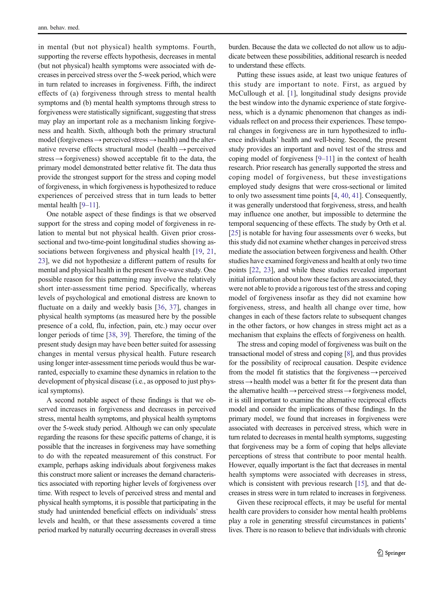in mental (but not physical) health symptoms. Fourth, supporting the reverse effects hypothesis, decreases in mental (but not physical) health symptoms were associated with decreases in perceived stress over the 5-week period, which were in turn related to increases in forgiveness. Fifth, the indirect effects of (a) forgiveness through stress to mental health symptoms and (b) mental health symptoms through stress to forgiveness were statistically significant, suggesting that stress may play an important role as a mechanism linking forgiveness and health. Sixth, although both the primary structural model (forgiveness  $\rightarrow$  perceived stress  $\rightarrow$  health) and the alternative reverse effects structural model (health→perceived stress → forgiveness) showed acceptable fit to the data, the primary model demonstrated better relative fit. The data thus provide the strongest support for the stress and coping model of forgiveness, in which forgiveness is hypothesized to reduce experiences of perceived stress that in turn leads to better mental health [\[9](#page-8-0)–[11\]](#page-8-0).

One notable aspect of these findings is that we observed support for the stress and coping model of forgiveness in relation to mental but not physical health. Given prior crosssectional and two-time-point longitudinal studies showing as-sociations between forgiveness and physical health [\[19,](#page-8-0) [21,](#page-8-0) [23\]](#page-8-0), we did not hypothesize a different pattern of results for mental and physical health in the present five-wave study. One possible reason for this patterning may involve the relatively short inter-assessment time period. Specifically, whereas levels of psychological and emotional distress are known to fluctuate on a daily and weekly basis [[36,](#page-8-0) [37\]](#page-8-0), changes in physical health symptoms (as measured here by the possible presence of a cold, flu, infection, pain, etc.) may occur over longer periods of time [\[38,](#page-8-0) [39](#page-8-0)]. Therefore, the timing of the present study design may have been better suited for assessing changes in mental versus physical health. Future research using longer inter-assessment time periods would thus be warranted, especially to examine these dynamics in relation to the development of physical disease (i.e., as opposed to just physical symptoms).

A second notable aspect of these findings is that we observed increases in forgiveness and decreases in perceived stress, mental health symptoms, and physical health symptoms over the 5-week study period. Although we can only speculate regarding the reasons for these specific patterns of change, it is possible that the increases in forgiveness may have something to do with the repeated measurement of this construct. For example, perhaps asking individuals about forgiveness makes this construct more salient or increases the demand characteristics associated with reporting higher levels of forgiveness over time. With respect to levels of perceived stress and mental and physical health symptoms, it is possible that participating in the study had unintended beneficial effects on individuals' stress levels and health, or that these assessments covered a time period marked by naturally occurring decreases in overall stress

burden. Because the data we collected do not allow us to adjudicate between these possibilities, additional research is needed to understand these effects.

Putting these issues aside, at least two unique features of this study are important to note. First, as argued by McCullough et al. [\[1](#page-7-0)], longitudinal study designs provide the best window into the dynamic experience of state forgiveness, which is a dynamic phenomenon that changes as individuals reflect on and process their experiences. These temporal changes in forgiveness are in turn hypothesized to influence individuals' health and well-being. Second, the present study provides an important and novel test of the stress and coping model of forgiveness [[9](#page-8-0)–[11\]](#page-8-0) in the context of health research. Prior research has generally supported the stress and coping model of forgiveness, but these investigations employed study designs that were cross-sectional or limited to only two assessment time points [[4,](#page-7-0) [40](#page-8-0), [41](#page-8-0)]. Consequently, it was generally understood that forgiveness, stress, and health may influence one another, but impossible to determine the temporal sequencing of these effects. The study by Orth et al. [\[25](#page-8-0)] is notable for having four assessments over 6 weeks, but this study did not examine whether changes in perceived stress mediate the association between forgiveness and health. Other studies have examined forgiveness and health at only two time points [[22,](#page-8-0) [23\]](#page-8-0), and while these studies revealed important initial information about how these factors are associated, they were not able to provide a rigorous test of the stress and coping model of forgiveness insofar as they did not examine how forgiveness, stress, and health all change over time, how changes in each of these factors relate to subsequent changes in the other factors, or how changes in stress might act as a mechanism that explains the effects of forgiveness on health.

The stress and coping model of forgiveness was built on the transactional model of stress and coping [\[8\]](#page-8-0), and thus provides for the possibility of reciprocal causation. Despite evidence from the model fit statistics that the forgiveness $\rightarrow$  perceived stress→health model was a better fit for the present data than the alternative health  $\rightarrow$  perceived stress  $\rightarrow$  forgiveness model, it is still important to examine the alternative reciprocal effects model and consider the implications of these findings. In the primary model, we found that increases in forgiveness were associated with decreases in perceived stress, which were in turn related to decreases in mental health symptoms, suggesting that forgiveness may be a form of coping that helps alleviate perceptions of stress that contribute to poor mental health. However, equally important is the fact that decreases in mental health symptoms were associated with decreases in stress, which is consistent with previous research [\[15](#page-8-0)], and that decreases in stress were in turn related to increases in forgiveness.

Given these reciprocal effects, it may be useful for mental health care providers to consider how mental health problems play a role in generating stressful circumstances in patients' lives. There is no reason to believe that individuals with chronic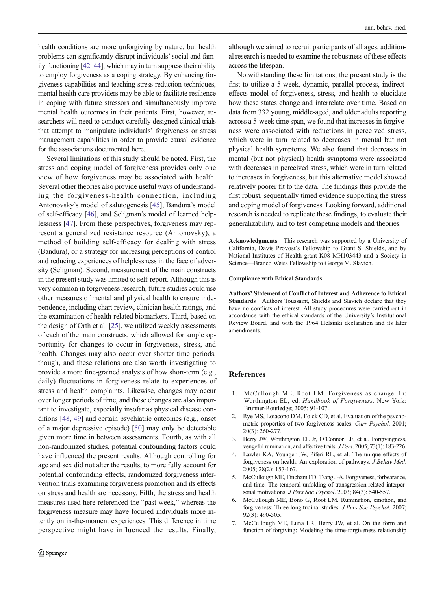<span id="page-7-0"></span>health conditions are more unforgiving by nature, but health problems can significantly disrupt individuals' social and family functioning [\[42](#page-8-0)–[44](#page-8-0)], which may in turn suppress their ability to employ forgiveness as a coping strategy. By enhancing forgiveness capabilities and teaching stress reduction techniques, mental health care providers may be able to facilitate resilience in coping with future stressors and simultaneously improve mental health outcomes in their patients. First, however, researchers will need to conduct carefully designed clinical trials that attempt to manipulate individuals' forgiveness or stress management capabilities in order to provide causal evidence for the associations documented here.

Several limitations of this study should be noted. First, the stress and coping model of forgiveness provides only one view of how forgiveness may be associated with health. Several other theories also provide useful ways of understanding the forgiveness-health connection, including Antonovsky's model of salutogenesis [\[45\]](#page-8-0), Bandura's model of self-efficacy [\[46](#page-8-0)], and Seligman's model of learned helplessness [\[47\]](#page-8-0). From these perspectives, forgiveness may represent a generalized resistance resource (Antonovsky), a method of building self-efficacy for dealing with stress (Bandura), or a strategy for increasing perceptions of control and reducing experiences of helplessness in the face of adversity (Seligman). Second, measurement of the main constructs in the present study was limited to self-report. Although this is very common in forgiveness research, future studies could use other measures of mental and physical health to ensure independence, including chart review, clinician health ratings, and the examination of health-related biomarkers. Third, based on the design of Orth et al. [[25](#page-8-0)], we utilized weekly assessments of each of the main constructs, which allowed for ample opportunity for changes to occur in forgiveness, stress, and health. Changes may also occur over shorter time periods, though, and these relations are also worth investigating to provide a more fine-grained analysis of how short-term (e.g., daily) fluctuations in forgiveness relate to experiences of stress and health complaints. Likewise, changes may occur over longer periods of time, and these changes are also important to investigate, especially insofar as physical disease conditions [\[48](#page-8-0), [49](#page-8-0)] and certain psychiatric outcomes (e.g., onset of a major depressive episode) [[50\]](#page-8-0) may only be detectable given more time in between assessments. Fourth, as with all non-randomized studies, potential confounding factors could have influenced the present results. Although controlling for age and sex did not alter the results, to more fully account for potential confounding effects, randomized forgiveness intervention trials examining forgiveness promotion and its effects on stress and health are necessary. Fifth, the stress and health measures used here referenced the "past week," whereas the forgiveness measure may have focused individuals more intently on in-the-moment experiences. This difference in time perspective might have influenced the results. Finally,

although we aimed to recruit participants of all ages, additional research is needed to examine the robustness of these effects across the lifespan.

Notwithstanding these limitations, the present study is the first to utilize a 5-week, dynamic, parallel process, indirecteffects model of forgiveness, stress, and health to elucidate how these states change and interrelate over time. Based on data from 332 young, middle-aged, and older adults reporting across a 5-week time span, we found that increases in forgiveness were associated with reductions in perceived stress, which were in turn related to decreases in mental but not physical health symptoms. We also found that decreases in mental (but not physical) health symptoms were associated with decreases in perceived stress, which were in turn related to increases in forgiveness, but this alternative model showed relatively poorer fit to the data. The findings thus provide the first robust, sequentially timed evidence supporting the stress and coping model of forgiveness. Looking forward, additional research is needed to replicate these findings, to evaluate their generalizability, and to test competing models and theories.

Acknowledgments This research was supported by a University of California, Davis Provost's Fellowship to Grant S. Shields, and by National Institutes of Health grant K08 MH103443 and a Society in Science—Branco Weiss Fellowship to George M. Slavich.

#### Compliance with Ethical Standards

Authors' Statement of Conflict of Interest and Adherence to Ethical Standards Authors Toussaint, Shields and Slavich declare that they have no conflicts of interest. All study procedures were carried out in accordance with the ethical standards of the University's Institutional Review Board, and with the 1964 Helsinki declaration and its later amendments.

# References

- 1. McCullough ME, Root LM. Forgiveness as change. In: Worthington EL, ed. Handbook of Forgiveness. New York: Brunner-Routledge; 2005: 91-107.
- 2. Rye MS, Loiacono DM, Folck CD, et al. Evaluation of the psychometric properties of two forgiveness scales. Curr Psychol. 2001; 20(3): 260-277.
- 3. Berry JW, Worthington EL Jr, O'Connor LE, et al. Forgivingness, vengeful rumination, and affective traits. *JPers*. 2005; 73(1): 183-226.
- 4. Lawler KA, Younger JW, Piferi RL, et al. The unique effects of forgiveness on health: An exploration of pathways. J Behav Med. 2005; 28(2): 157-167.
- 5. McCullough ME, Fincham FD, Tsang J-A. Forgiveness, forbearance, and time: The temporal unfolding of transgression-related interpersonal motivations. J Pers Soc Psychol. 2003; 84(3): 540-557.
- 6. McCullough ME, Bono G, Root LM. Rumination, emotion, and forgiveness: Three longitudinal studies. J Pers Soc Psychol. 2007; 92(3): 490-505.
- 7. McCullough ME, Luna LR, Berry JW, et al. On the form and function of forgiving: Modeling the time-forgiveness relationship